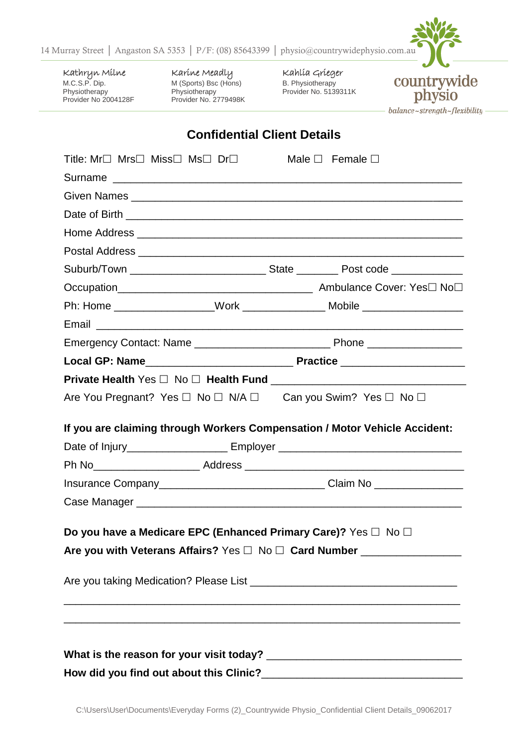

Kathryn Milne M.C.S.P. Dip. **Physiotherapy** Provider No 2004128F Karine Meadly M (Sports) Bsc (Hons) Physiotherapy Provider No. 2779498K Kahlia Grieger B. Physiotherapy Provider No. 5139311K



## **Confidential Client Details**

| Title: $Mr\Box$ Mrs $\Box$ Miss $\Box$ Ms $\Box$ Dr $\Box$                 |  | Male $\square$ Female $\square$                                                            |  |  |
|----------------------------------------------------------------------------|--|--------------------------------------------------------------------------------------------|--|--|
|                                                                            |  |                                                                                            |  |  |
|                                                                            |  |                                                                                            |  |  |
|                                                                            |  |                                                                                            |  |  |
|                                                                            |  |                                                                                            |  |  |
|                                                                            |  |                                                                                            |  |  |
|                                                                            |  |                                                                                            |  |  |
|                                                                            |  |                                                                                            |  |  |
|                                                                            |  | Ph: Home ___________________Work ____________________Mobile ____________________           |  |  |
|                                                                            |  |                                                                                            |  |  |
|                                                                            |  |                                                                                            |  |  |
|                                                                            |  |                                                                                            |  |  |
|                                                                            |  |                                                                                            |  |  |
| Are You Pregnant? Yes □ No □ N/A □ Can you Swim? Yes □ No □                |  |                                                                                            |  |  |
|                                                                            |  |                                                                                            |  |  |
| If you are claiming through Workers Compensation / Motor Vehicle Accident: |  |                                                                                            |  |  |
|                                                                            |  | Date of Injury__________________________ Employer ______________________________           |  |  |
|                                                                            |  |                                                                                            |  |  |
|                                                                            |  | Insurance Company_________________________________Claim No _____________________           |  |  |
|                                                                            |  |                                                                                            |  |  |
|                                                                            |  |                                                                                            |  |  |
| Do you have a Medicare EPC (Enhanced Primary Care)? Yes □ No □             |  |                                                                                            |  |  |
|                                                                            |  | Are you with Veterans Affairs? Yes $\square$ No $\square$ Card Number ____________________ |  |  |
|                                                                            |  |                                                                                            |  |  |
|                                                                            |  |                                                                                            |  |  |
|                                                                            |  |                                                                                            |  |  |
|                                                                            |  |                                                                                            |  |  |
|                                                                            |  |                                                                                            |  |  |
| How did you find out about this Clinic?                                    |  |                                                                                            |  |  |
|                                                                            |  |                                                                                            |  |  |